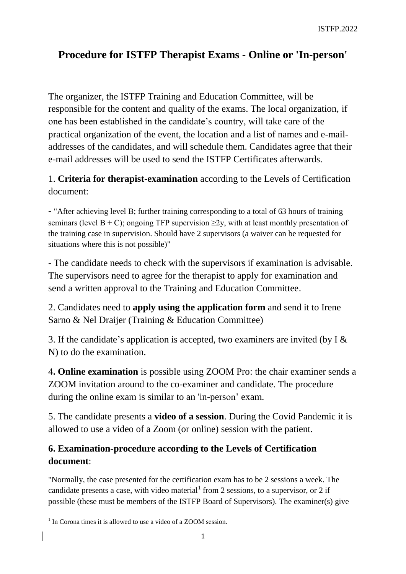## **Procedure for ISTFP Therapist Exams - Online or 'In-person'**

The organizer, the ISTFP Training and Education Committee, will be responsible for the content and quality of the exams. The local organization, if one has been established in the candidate's country, will take care of the practical organization of the event, the location and a list of names and e-mailaddresses of the candidates, and will schedule them. Candidates agree that their e-mail addresses will be used to send the ISTFP Certificates afterwards.

## 1. **Criteria for therapist-examination** according to the Levels of Certification document:

- "After achieving level B; further training corresponding to a total of 63 hours of training seminars (level B + C); ongoing TFP supervision  $\geq$ 2y, with at least monthly presentation of the training case in supervision. Should have 2 supervisors (a waiver can be requested for situations where this is not possible)"

- The candidate needs to check with the supervisors if examination is advisable. The supervisors need to agree for the therapist to apply for examination and send a written approval to the Training and Education Committee.

2. Candidates need to **apply using the application form** and send it to Irene Sarno & Nel Draijer (Training & Education Committee)

3. If the candidate's application is accepted, two examiners are invited (by I & N) to do the examination.

4**. Online examination** is possible using ZOOM Pro: the chair examiner sends a ZOOM invitation around to the co-examiner and candidate. The procedure during the online exam is similar to an 'in-person' exam.

5. The candidate presents a **video of a session**. During the Covid Pandemic it is allowed to use a video of a Zoom (or online) session with the patient.

## **6. Examination-procedure according to the Levels of Certification document**:

"Normally, the case presented for the certification exam has to be 2 sessions a week. The candidate presents a case, with video material from 2 sessions, to a supervisor, or 2 if possible (these must be members of the ISTFP Board of Supervisors). The examiner(s) give

 1 In Corona times it is allowed to use a video of a ZOOM session.